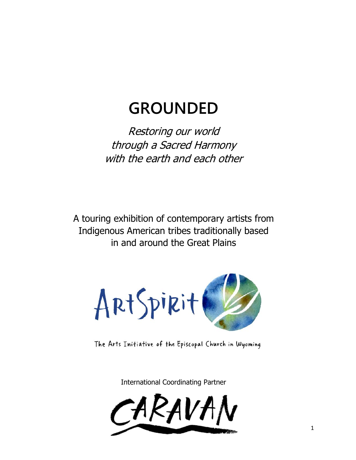# **GROUNDED**

Restoring our world through a Sacred Harmony with the earth and each other

A touring exhibition of contemporary artists from Indigenous American tribes traditionally based in and around the Great Plains



The Arts Initiative of the Episcopal Church in Wyoming

International Coordinating Partner

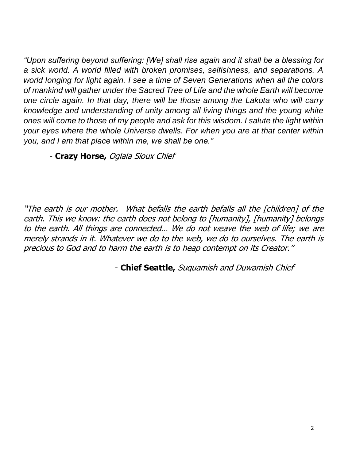*"Upon suffering beyond suffering: [We] shall rise again and it shall be a blessing for a sick world. A world filled with broken promises, selfishness, and separations. A world longing for light again. I see a time of Seven Generations when all the colors of mankind will gather under the Sacred Tree of Life and the whole Earth will become one circle again. In that day, there will be those among the Lakota who will carry knowledge and understanding of unity among all living things and the young white ones will come to those of my people and ask for this wisdom. I salute the light within your eyes where the whole Universe dwells. For when you are at that center within you, and I am that place within me, we shall be one."* 

- **Crazy Horse,** Oglala Sioux Chief

"The earth is our mother. What befalls the earth befalls all the [children] of the earth. This we know: the earth does not belong to [humanity], [humanity] belongs to the earth. All things are connected… We do not weave the web of life; we are merely strands in it. Whatever we do to the web, we do to ourselves. The earth is precious to God and to harm the earth is to heap contempt on its Creator."

- **Chief Seattle,** Suquamish and Duwamish Chief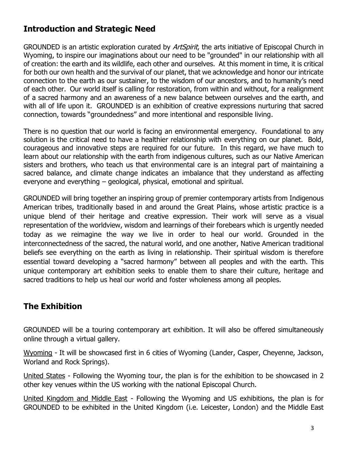# **Introduction and Strategic Need**

GROUNDED is an artistic exploration curated by *ArtSpirit*, the arts initiative of Episcopal Church in Wyoming, to inspire our imaginations about our need to be "grounded" in our relationship with all of creation: the earth and its wildlife, each other and ourselves. At this moment in time, it is critical for both our own health and the survival of our planet, that we acknowledge and honor our intricate connection to the earth as our sustainer, to the wisdom of our ancestors, and to humanity's need of each other. Our world itself is calling for restoration, from within and without, for a realignment of a sacred harmony and an awareness of a new balance between ourselves and the earth, and with all of life upon it. GROUNDED is an exhibition of creative expressions nurturing that sacred connection, towards "groundedness" and more intentional and responsible living.

There is no question that our world is facing an environmental emergency. Foundational to any solution is the critical need to have a healthier relationship with everything on our planet. Bold, courageous and innovative steps are required for our future. In this regard, we have much to learn about our relationship with the earth from indigenous cultures, such as our Native American sisters and brothers, who teach us that environmental care is an integral part of maintaining a sacred balance, and climate change indicates an imbalance that they understand as affecting everyone and everything – geological, physical, emotional and spiritual.

GROUNDED will bring together an inspiring group of premier contemporary artists from Indigenous American tribes, traditionally based in and around the Great Plains, whose artistic practice is a unique blend of their heritage and creative expression. Their work will serve as a visual representation of the worldview, wisdom and learnings of their forebears which is urgently needed today as we reimagine the way we live in order to heal our world. Grounded in the interconnectedness of the sacred, the natural world, and one another, Native American traditional beliefs see everything on the earth as living in relationship. Their spiritual wisdom is therefore essential toward developing a "sacred harmony" between all peoples and with the earth. This unique contemporary art exhibition seeks to enable them to share their culture, heritage and sacred traditions to help us heal our world and foster wholeness among all peoples.

# **The Exhibition**

GROUNDED will be a touring contemporary art exhibition. It will also be offered simultaneously online through a virtual gallery.

Wyoming - It will be showcased first in 6 cities of Wyoming (Lander, Casper, Cheyenne, Jackson, Worland and Rock Springs).

United States - Following the Wyoming tour, the plan is for the exhibition to be showcased in 2 other key venues within the US working with the national Episcopal Church.

United Kingdom and Middle East - Following the Wyoming and US exhibitions, the plan is for GROUNDED to be exhibited in the United Kingdom (i.e. Leicester, London) and the Middle East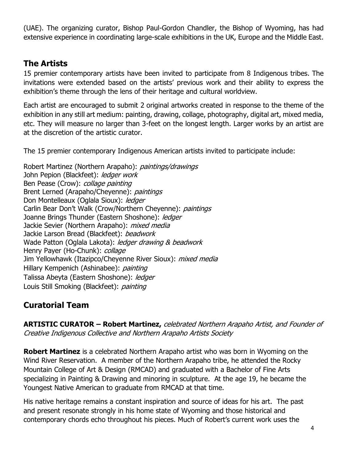(UAE). The organizing curator, Bishop Paul-Gordon Chandler, the Bishop of Wyoming, has had extensive experience in coordinating large-scale exhibitions in the UK, Europe and the Middle East.

## **The Artists**

15 premier contemporary artists have been invited to participate from 8 Indigenous tribes. The invitations were extended based on the artists' previous work and their ability to express the exhibition's theme through the lens of their heritage and cultural worldview.

Each artist are encouraged to submit 2 original artworks created in response to the theme of the exhibition in any still art medium: painting, drawing, collage, photography, digital art, mixed media, etc. They will measure no larger than 3-feet on the longest length. Larger works by an artist are at the discretion of the artistic curator.

The 15 premier contemporary Indigenous American artists invited to participate include:

Robert Martinez (Northern Arapaho): *paintings/drawings* John Pepion (Blackfeet): ledger work Ben Pease (Crow): *collage painting* Brent Lerned (Arapaho/Cheyenne): *paintings* Don Montelleaux (Oglala Sioux): ledger Carlin Bear Don't Walk (Crow/Northern Cheyenne): *paintings* Joanne Brings Thunder (Eastern Shoshone): ledger Jackie Sevier (Northern Arapaho): *mixed media* Jackie Larson Bread (Blackfeet): *beadwork* Wade Patton (Oglala Lakota): ledger drawing & beadwork Henry Payer (Ho-Chunk): *collage* Jim Yellowhawk (Itazipco/Cheyenne River Sioux): *mixed media* Hillary Kempenich (Ashinabee): *painting* Talissa Abeyta (Eastern Shoshone): ledaer Louis Still Smoking (Blackfeet): *painting* 

# **Curatorial Team**

**ARTISTIC CURATOR – Robert Martinez,** celebrated Northern Arapaho Artist, and Founder of Creative Indigenous Collective and Northern Arapaho Artists Society

**Robert Martinez** is a celebrated Northern Arapaho artist who was born in Wyoming on the Wind River Reservation. A member of the Northern Arapaho tribe, he attended the Rocky Mountain College of Art & Design (RMCAD) and graduated with a Bachelor of Fine Arts specializing in Painting & Drawing and minoring in sculpture. At the age 19, he became the Youngest Native American to graduate from RMCAD at that time.

His native heritage remains a constant inspiration and source of ideas for his art. The past and present resonate strongly in his home state of Wyoming and those historical and contemporary chords echo throughout his pieces. Much of Robert's current work uses the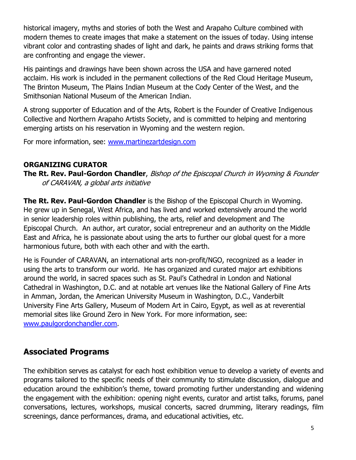historical imagery, myths and stories of both the West and Arapaho Culture combined with modern themes to create images that make a statement on the issues of today. Using intense vibrant color and contrasting shades of light and dark, he paints and draws striking forms that are confronting and engage the viewer.

His paintings and drawings have been shown across the USA and have garnered noted acclaim. His work is included in the permanent collections of the Red Cloud Heritage Museum, The Brinton Museum, The Plains Indian Museum at the Cody Center of the West, and the Smithsonian National Museum of the American Indian.

A strong supporter of Education and of the Arts, Robert is the Founder of Creative Indigenous Collective and Northern Arapaho Artists Society, and is committed to helping and mentoring emerging artists on his reservation in Wyoming and the western region.

For more information, see: [www.martinezartdesign.com](http://www.martinezartdesign.com/)

#### **ORGANIZING CURATOR**

**The Rt. Rev. Paul-Gordon Chandler**, Bishop of the Episcopal Church in Wyoming & Founder of CARAVAN, a global arts initiative

**The Rt. Rev. Paul-Gordon Chandler** is the Bishop of the Episcopal Church in Wyoming. He grew up in Senegal, West Africa, and has lived and worked extensively around the world in senior leadership roles within publishing, the arts, relief and development and The Episcopal Church. An author, art curator, social entrepreneur and an authority on the Middle East and Africa, he is passionate about using the arts to further our global quest for a more harmonious future, both with each other and with the earth.

He is Founder of CARAVAN, an international arts non-profit/NGO, recognized as a leader in using the arts to transform our world. He has organized and curated major art exhibitions around the world, in sacred spaces such as St. Paul's Cathedral in London and National Cathedral in Washington, D.C. and at notable art venues like the National Gallery of Fine Arts in Amman, Jordan, the American University Museum in Washington, D.C., Vanderbilt University Fine Arts Gallery, Museum of Modern Art in Cairo, Egypt, as well as at reverential memorial sites like Ground Zero in New York. For more information, see: [www.paulgordonchandler.com.](http://www.paulgordonchandler.com/)

### **Associated Programs**

The exhibition serves as catalyst for each host exhibition venue to develop a variety of events and programs tailored to the specific needs of their community to stimulate discussion, dialogue and education around the exhibition's theme, toward promoting further understanding and widening the engagement with the exhibition: opening night events, curator and artist talks, forums, panel conversations, lectures, workshops, musical concerts, sacred drumming, literary readings, film screenings, dance performances, drama, and educational activities, etc.